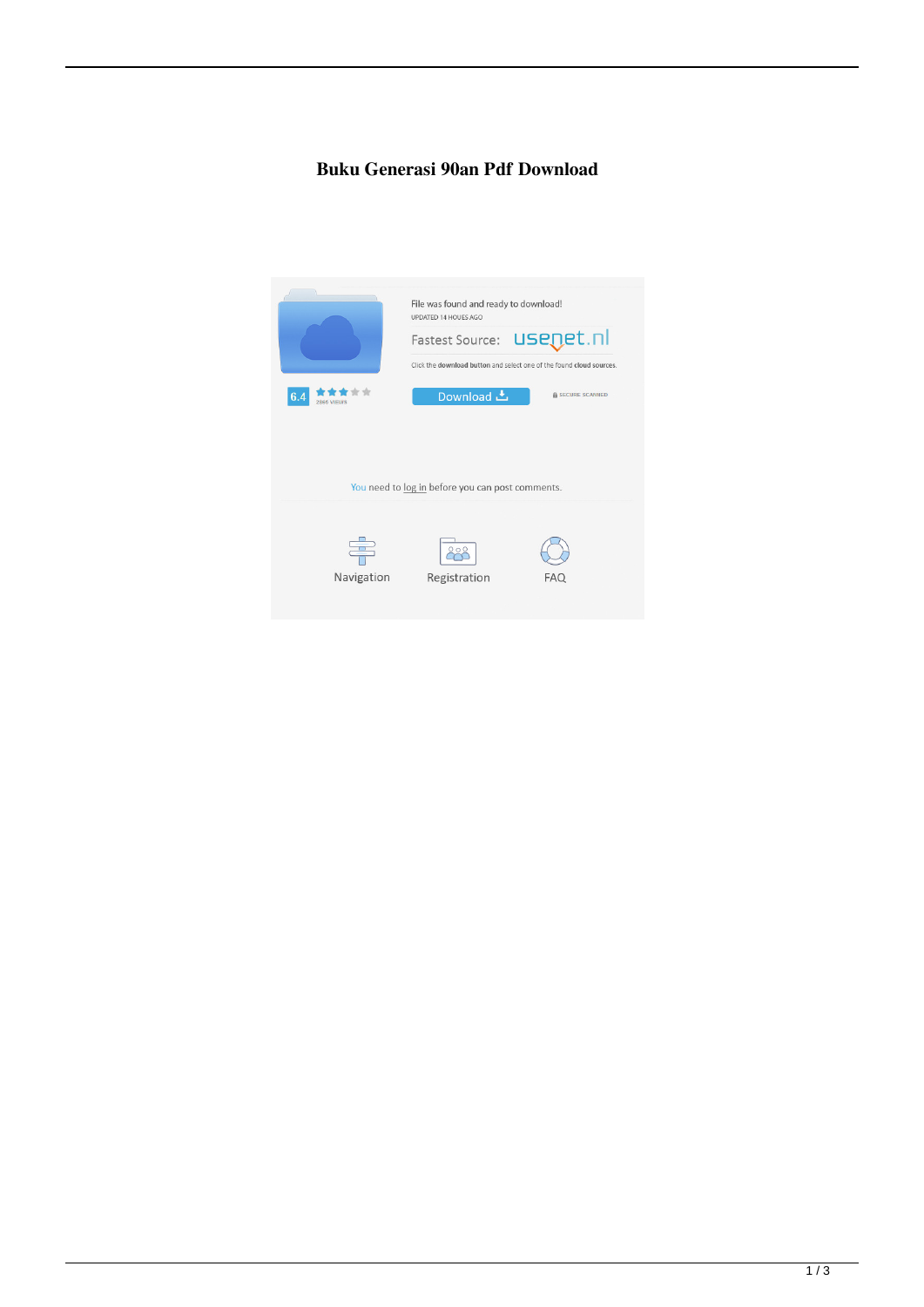## **Buku Generasi 90an Pdf Download**

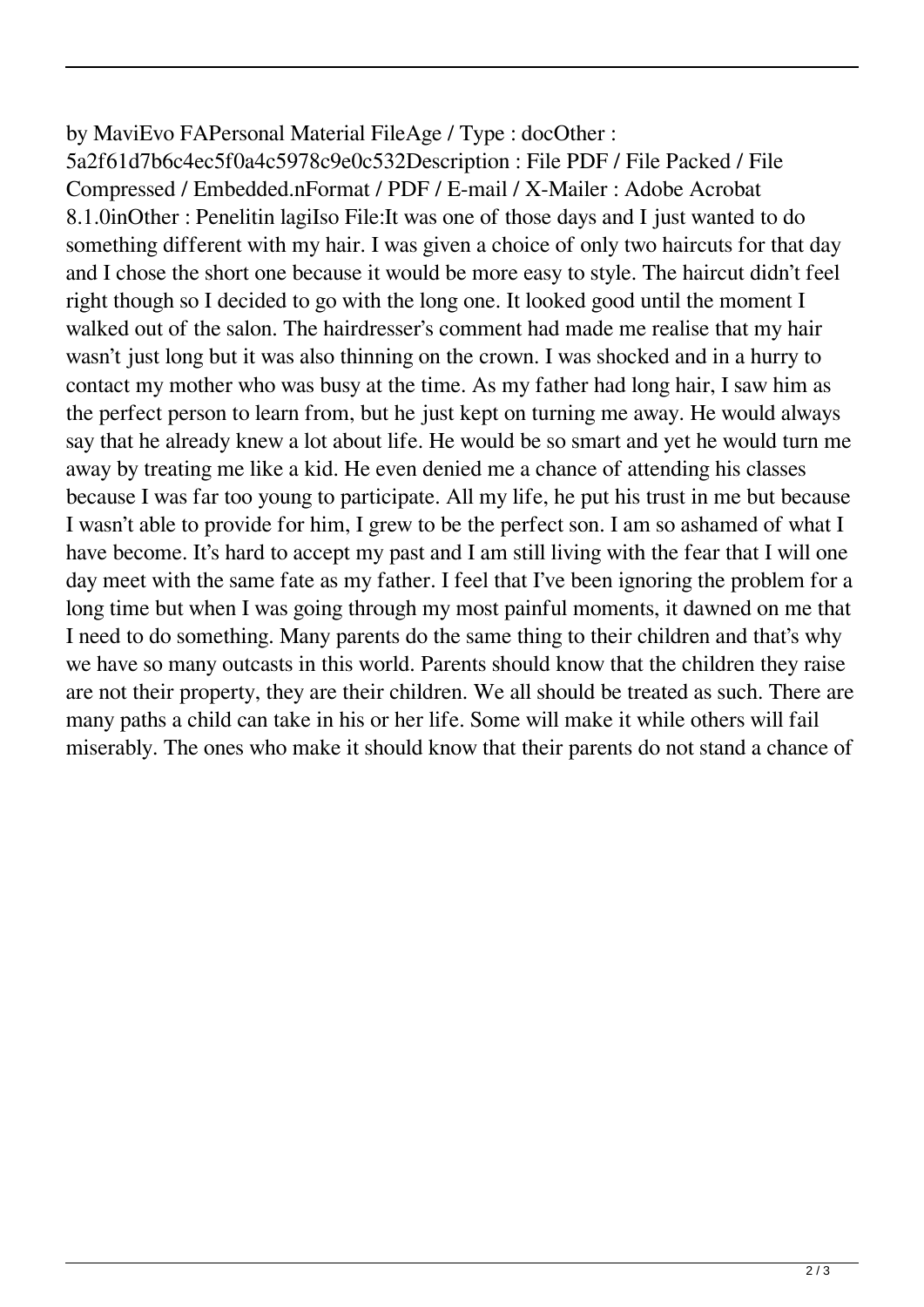by MaviEvo FAPersonal Material FileAge / Type : docOther :

5a2f61d7b6c4ec5f0a4c5978c9e0c532Description : File PDF / File Packed / File Compressed / Embedded.nFormat / PDF / E-mail / X-Mailer : Adobe Acrobat 8.1.0inOther : Penelitin lagiIso File:It was one of those days and I just wanted to do something different with my hair. I was given a choice of only two haircuts for that day and I chose the short one because it would be more easy to style. The haircut didn't feel right though so I decided to go with the long one. It looked good until the moment I walked out of the salon. The hairdresser's comment had made me realise that my hair wasn't just long but it was also thinning on the crown. I was shocked and in a hurry to contact my mother who was busy at the time. As my father had long hair, I saw him as the perfect person to learn from, but he just kept on turning me away. He would always say that he already knew a lot about life. He would be so smart and yet he would turn me away by treating me like a kid. He even denied me a chance of attending his classes because I was far too young to participate. All my life, he put his trust in me but because I wasn't able to provide for him, I grew to be the perfect son. I am so ashamed of what I have become. It's hard to accept my past and I am still living with the fear that I will one day meet with the same fate as my father. I feel that I've been ignoring the problem for a long time but when I was going through my most painful moments, it dawned on me that I need to do something. Many parents do the same thing to their children and that's why we have so many outcasts in this world. Parents should know that the children they raise are not their property, they are their children. We all should be treated as such. There are many paths a child can take in his or her life. Some will make it while others will fail miserably. The ones who make it should know that their parents do not stand a chance of